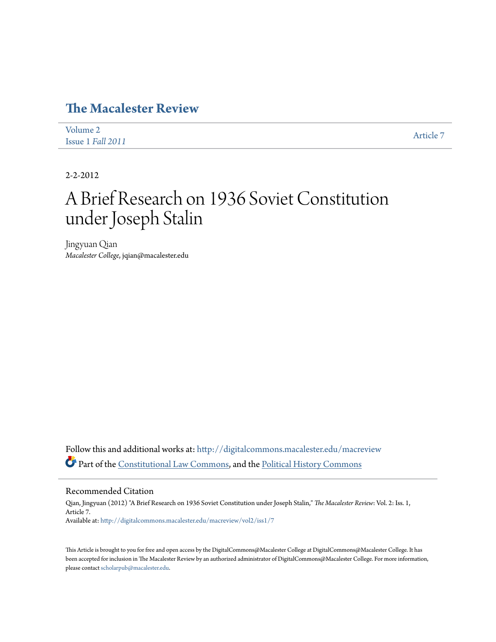# **[The Macalester Review](http://digitalcommons.macalester.edu/macreview?utm_source=digitalcommons.macalester.edu%2Fmacreview%2Fvol2%2Fiss1%2F7&utm_medium=PDF&utm_campaign=PDFCoverPages)**

| Volume 2          | Article 7 |
|-------------------|-----------|
| Issue 1 Fall 2011 |           |

2-2-2012

# A Brief Research on 1936 Soviet Constitution under Joseph Stalin

Jingyuan Qian *Macalester College*, jqian@macalester.edu

Follow this and additional works at: [http://digitalcommons.macalester.edu/macreview](http://digitalcommons.macalester.edu/macreview?utm_source=digitalcommons.macalester.edu%2Fmacreview%2Fvol2%2Fiss1%2F7&utm_medium=PDF&utm_campaign=PDFCoverPages) Part of the [Constitutional Law Commons,](http://network.bepress.com/hgg/discipline/589?utm_source=digitalcommons.macalester.edu%2Fmacreview%2Fvol2%2Fiss1%2F7&utm_medium=PDF&utm_campaign=PDFCoverPages) and the [Political History Commons](http://network.bepress.com/hgg/discipline/505?utm_source=digitalcommons.macalester.edu%2Fmacreview%2Fvol2%2Fiss1%2F7&utm_medium=PDF&utm_campaign=PDFCoverPages)

Recommended Citation

Qian, Jingyuan (2012) "A Brief Research on 1936 Soviet Constitution under Joseph Stalin," *The Macalester Review*: Vol. 2: Iss. 1, Article 7. Available at: [http://digitalcommons.macalester.edu/macreview/vol2/iss1/7](http://digitalcommons.macalester.edu/macreview/vol2/iss1/7?utm_source=digitalcommons.macalester.edu%2Fmacreview%2Fvol2%2Fiss1%2F7&utm_medium=PDF&utm_campaign=PDFCoverPages)

This Article is brought to you for free and open access by the DigitalCommons@Macalester College at DigitalCommons@Macalester College. It has been accepted for inclusion in The Macalester Review by an authorized administrator of DigitalCommons@Macalester College. For more information, please contact [scholarpub@macalester.edu.](mailto:scholarpub@macalester.edu)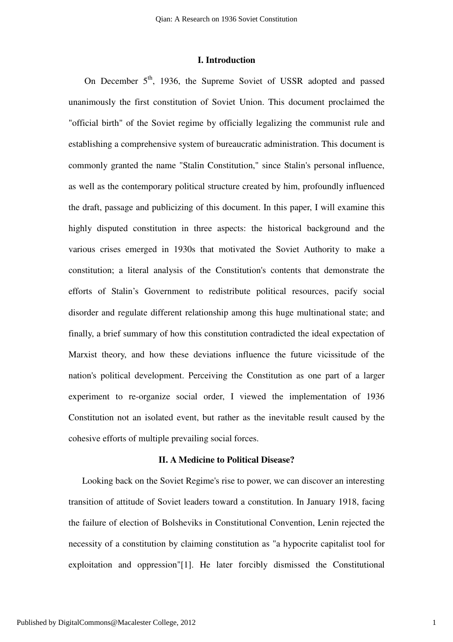# **I. Introduction**

On December 5<sup>th</sup>, 1936, the Supreme Soviet of USSR adopted and passed unanimously the first constitution of Soviet Union. This document proclaimed the "official birth" of the Soviet regime by officially legalizing the communist rule and establishing a comprehensive system of bureaucratic administration. This document is commonly granted the name "Stalin Constitution," since Stalin's personal influence, as well as the contemporary political structure created by him, profoundly influenced the draft, passage and publicizing of this document. In this paper, I will examine this highly disputed constitution in three aspects: the historical background and the various crises emerged in 1930s that motivated the Soviet Authority to make a constitution; a literal analysis of the Constitution's contents that demonstrate the efforts of Stalin's Government to redistribute political resources, pacify social disorder and regulate different relationship among this huge multinational state; and finally, a brief summary of how this constitution contradicted the ideal expectation of Marxist theory, and how these deviations influence the future vicissitude of the nation's political development. Perceiving the Constitution as one part of a larger experiment to re-organize social order, I viewed the implementation of 1936 Constitution not an isolated event, but rather as the inevitable result caused by the cohesive efforts of multiple prevailing social forces.

#### **II. A Medicine to Political Disease?**

Looking back on the Soviet Regime's rise to power, we can discover an interesting transition of attitude of Soviet leaders toward a constitution. In January 1918, facing the failure of election of Bolsheviks in Constitutional Convention, Lenin rejected the necessity of a constitution by claiming constitution as "a hypocrite capitalist tool for exploitation and oppression"[1]. He later forcibly dismissed the Constitutional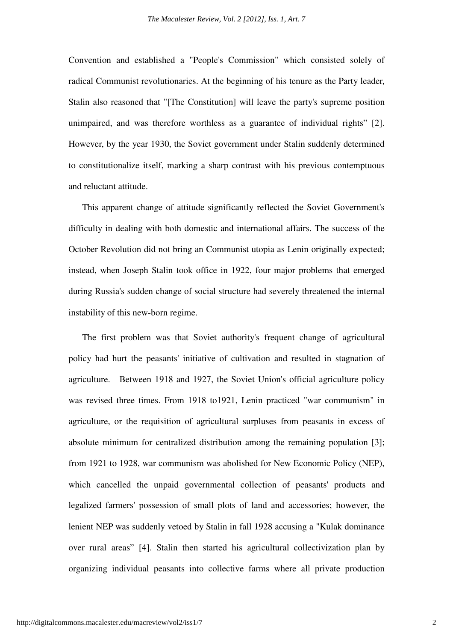Convention and established a "People's Commission" which consisted solely of radical Communist revolutionaries. At the beginning of his tenure as the Party leader, Stalin also reasoned that "[The Constitution] will leave the party's supreme position unimpaired, and was therefore worthless as a guarantee of individual rights" [2]. However, by the year 1930, the Soviet government under Stalin suddenly determined to constitutionalize itself, marking a sharp contrast with his previous contemptuous and reluctant attitude.

This apparent change of attitude significantly reflected the Soviet Government's difficulty in dealing with both domestic and international affairs. The success of the October Revolution did not bring an Communist utopia as Lenin originally expected; instead, when Joseph Stalin took office in 1922, four major problems that emerged during Russia's sudden change of social structure had severely threatened the internal instability of this new-born regime.

The first problem was that Soviet authority's frequent change of agricultural policy had hurt the peasants' initiative of cultivation and resulted in stagnation of agriculture. Between 1918 and 1927, the Soviet Union's official agriculture policy was revised three times. From 1918 to1921, Lenin practiced "war communism" in agriculture, or the requisition of agricultural surpluses from peasants in excess of absolute minimum for centralized distribution among the remaining population [3]; from 1921 to 1928, war communism was abolished for New Economic Policy (NEP), which cancelled the unpaid governmental collection of peasants' products and legalized farmers' possession of small plots of land and accessories; however, the lenient NEP was suddenly vetoed by Stalin in fall 1928 accusing a "Kulak dominance over rural areas" [4]. Stalin then started his agricultural collectivization plan by organizing individual peasants into collective farms where all private production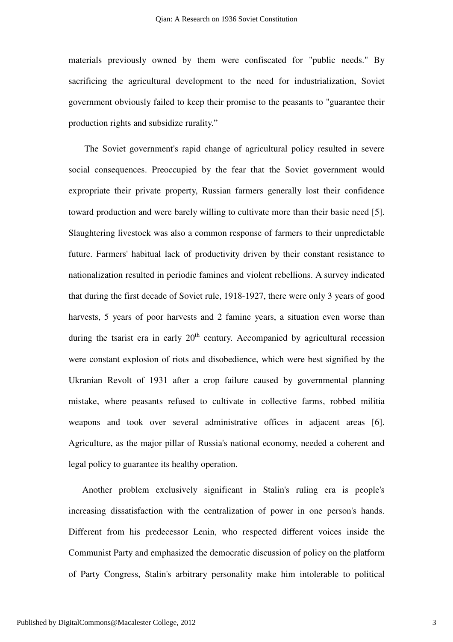materials previously owned by them were confiscated for "public needs." By sacrificing the agricultural development to the need for industrialization, Soviet government obviously failed to keep their promise to the peasants to "guarantee their production rights and subsidize rurality."

The Soviet government's rapid change of agricultural policy resulted in severe social consequences. Preoccupied by the fear that the Soviet government would expropriate their private property, Russian farmers generally lost their confidence toward production and were barely willing to cultivate more than their basic need [5]. Slaughtering livestock was also a common response of farmers to their unpredictable future. Farmers' habitual lack of productivity driven by their constant resistance to nationalization resulted in periodic famines and violent rebellions. A survey indicated that during the first decade of Soviet rule, 1918-1927, there were only 3 years of good harvests, 5 years of poor harvests and 2 famine years, a situation even worse than during the tsarist era in early  $20<sup>th</sup>$  century. Accompanied by agricultural recession were constant explosion of riots and disobedience, which were best signified by the Ukranian Revolt of 1931 after a crop failure caused by governmental planning mistake, where peasants refused to cultivate in collective farms, robbed militia weapons and took over several administrative offices in adjacent areas [6]. Agriculture, as the major pillar of Russia's national economy, needed a coherent and legal policy to guarantee its healthy operation.

Another problem exclusively significant in Stalin's ruling era is people's increasing dissatisfaction with the centralization of power in one person's hands. Different from his predecessor Lenin, who respected different voices inside the Communist Party and emphasized the democratic discussion of policy on the platform of Party Congress, Stalin's arbitrary personality make him intolerable to political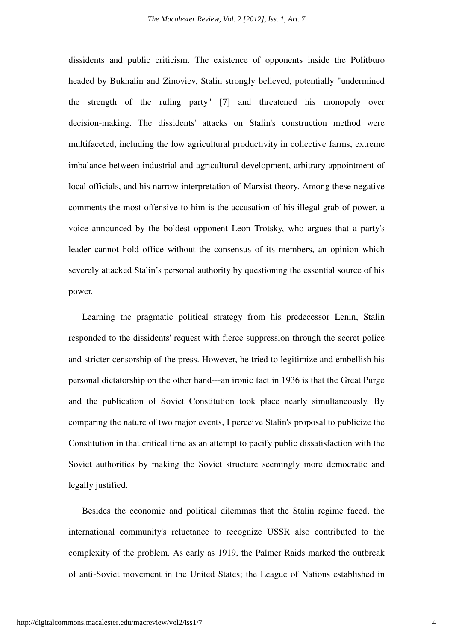dissidents and public criticism. The existence of opponents inside the Politburo headed by Bukhalin and Zinoviev, Stalin strongly believed, potentially "undermined the strength of the ruling party" [7] and threatened his monopoly over decision-making. The dissidents' attacks on Stalin's construction method were multifaceted, including the low agricultural productivity in collective farms, extreme imbalance between industrial and agricultural development, arbitrary appointment of local officials, and his narrow interpretation of Marxist theory. Among these negative comments the most offensive to him is the accusation of his illegal grab of power, a voice announced by the boldest opponent Leon Trotsky, who argues that a party's leader cannot hold office without the consensus of its members, an opinion which severely attacked Stalin's personal authority by questioning the essential source of his power.

Learning the pragmatic political strategy from his predecessor Lenin, Stalin responded to the dissidents' request with fierce suppression through the secret police and stricter censorship of the press. However, he tried to legitimize and embellish his personal dictatorship on the other hand---an ironic fact in 1936 is that the Great Purge and the publication of Soviet Constitution took place nearly simultaneously. By comparing the nature of two major events, I perceive Stalin's proposal to publicize the Constitution in that critical time as an attempt to pacify public dissatisfaction with the Soviet authorities by making the Soviet structure seemingly more democratic and legally justified.

Besides the economic and political dilemmas that the Stalin regime faced, the international community's reluctance to recognize USSR also contributed to the complexity of the problem. As early as 1919, the Palmer Raids marked the outbreak of anti-Soviet movement in the United States; the League of Nations established in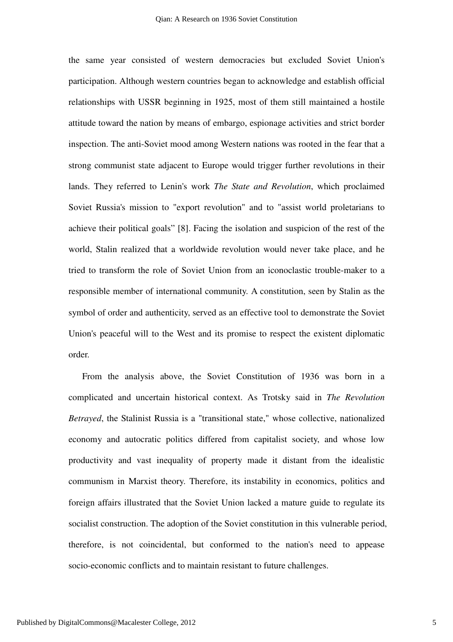the same year consisted of western democracies but excluded Soviet Union's participation. Although western countries began to acknowledge and establish official relationships with USSR beginning in 1925, most of them still maintained a hostile attitude toward the nation by means of embargo, espionage activities and strict border inspection. The anti-Soviet mood among Western nations was rooted in the fear that a strong communist state adjacent to Europe would trigger further revolutions in their lands. They referred to Lenin's work *The State and Revolution*, which proclaimed Soviet Russia's mission to "export revolution" and to "assist world proletarians to achieve their political goals" [8]. Facing the isolation and suspicion of the rest of the world, Stalin realized that a worldwide revolution would never take place, and he tried to transform the role of Soviet Union from an iconoclastic trouble-maker to a responsible member of international community. A constitution, seen by Stalin as the symbol of order and authenticity, served as an effective tool to demonstrate the Soviet Union's peaceful will to the West and its promise to respect the existent diplomatic order.

From the analysis above, the Soviet Constitution of 1936 was born in a complicated and uncertain historical context. As Trotsky said in *The Revolution Betrayed*, the Stalinist Russia is a "transitional state," whose collective, nationalized economy and autocratic politics differed from capitalist society, and whose low productivity and vast inequality of property made it distant from the idealistic communism in Marxist theory. Therefore, its instability in economics, politics and foreign affairs illustrated that the Soviet Union lacked a mature guide to regulate its socialist construction. The adoption of the Soviet constitution in this vulnerable period, therefore, is not coincidental, but conformed to the nation's need to appease socio-economic conflicts and to maintain resistant to future challenges.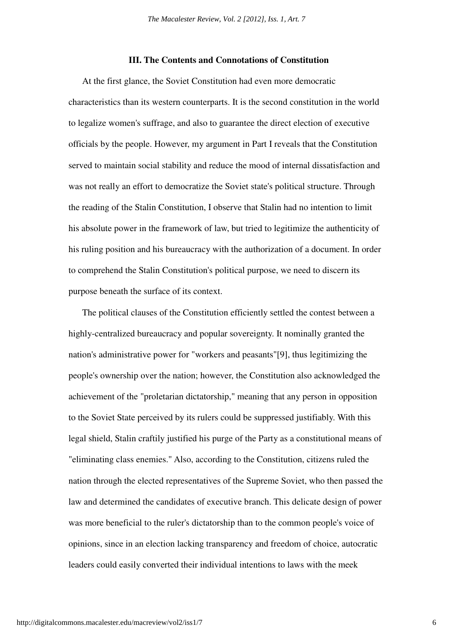## **III. The Contents and Connotations of Constitution**

At the first glance, the Soviet Constitution had even more democratic characteristics than its western counterparts. It is the second constitution in the world to legalize women's suffrage, and also to guarantee the direct election of executive officials by the people. However, my argument in Part I reveals that the Constitution served to maintain social stability and reduce the mood of internal dissatisfaction and was not really an effort to democratize the Soviet state's political structure. Through the reading of the Stalin Constitution, I observe that Stalin had no intention to limit his absolute power in the framework of law, but tried to legitimize the authenticity of his ruling position and his bureaucracy with the authorization of a document. In order to comprehend the Stalin Constitution's political purpose, we need to discern its purpose beneath the surface of its context.

The political clauses of the Constitution efficiently settled the contest between a highly-centralized bureaucracy and popular sovereignty. It nominally granted the nation's administrative power for "workers and peasants"[9], thus legitimizing the people's ownership over the nation; however, the Constitution also acknowledged the achievement of the "proletarian dictatorship," meaning that any person in opposition to the Soviet State perceived by its rulers could be suppressed justifiably. With this legal shield, Stalin craftily justified his purge of the Party as a constitutional means of "eliminating class enemies." Also, according to the Constitution, citizens ruled the nation through the elected representatives of the Supreme Soviet, who then passed the law and determined the candidates of executive branch. This delicate design of power was more beneficial to the ruler's dictatorship than to the common people's voice of opinions, since in an election lacking transparency and freedom of choice, autocratic leaders could easily converted their individual intentions to laws with the meek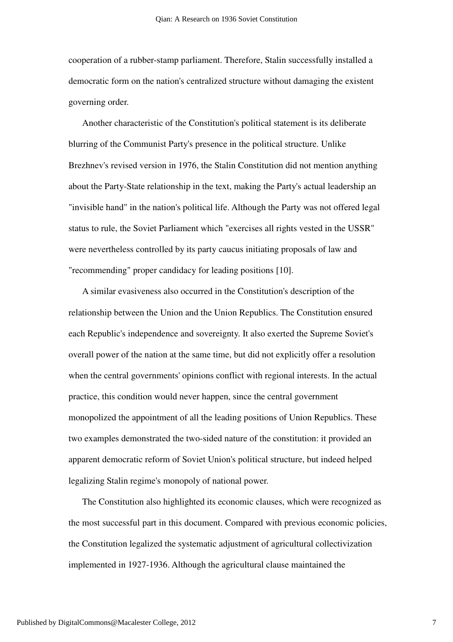cooperation of a rubber-stamp parliament. Therefore, Stalin successfully installed a democratic form on the nation's centralized structure without damaging the existent governing order.

Another characteristic of the Constitution's political statement is its deliberate blurring of the Communist Party's presence in the political structure. Unlike Brezhnev's revised version in 1976, the Stalin Constitution did not mention anything about the Party-State relationship in the text, making the Party's actual leadership an "invisible hand" in the nation's political life. Although the Party was not offered legal status to rule, the Soviet Parliament which "exercises all rights vested in the USSR" were nevertheless controlled by its party caucus initiating proposals of law and "recommending" proper candidacy for leading positions [10].

A similar evasiveness also occurred in the Constitution's description of the relationship between the Union and the Union Republics. The Constitution ensured each Republic's independence and sovereignty. It also exerted the Supreme Soviet's overall power of the nation at the same time, but did not explicitly offer a resolution when the central governments' opinions conflict with regional interests. In the actual practice, this condition would never happen, since the central government monopolized the appointment of all the leading positions of Union Republics. These two examples demonstrated the two-sided nature of the constitution: it provided an apparent democratic reform of Soviet Union's political structure, but indeed helped legalizing Stalin regime's monopoly of national power.

The Constitution also highlighted its economic clauses, which were recognized as the most successful part in this document. Compared with previous economic policies, the Constitution legalized the systematic adjustment of agricultural collectivization implemented in 1927-1936. Although the agricultural clause maintained the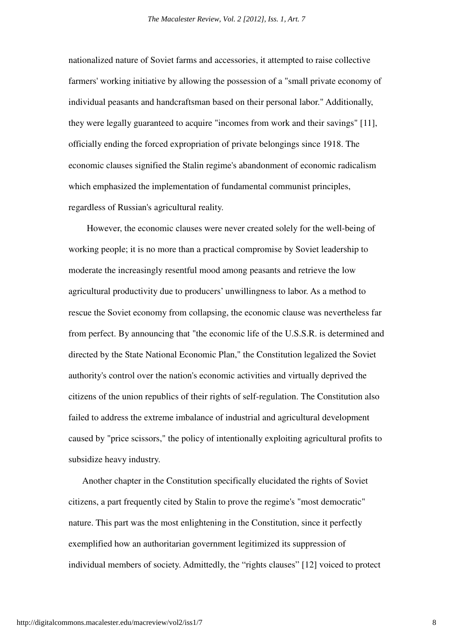nationalized nature of Soviet farms and accessories, it attempted to raise collective farmers' working initiative by allowing the possession of a "small private economy of individual peasants and handcraftsman based on their personal labor." Additionally, they were legally guaranteed to acquire "incomes from work and their savings" [11], officially ending the forced expropriation of private belongings since 1918. The economic clauses signified the Stalin regime's abandonment of economic radicalism which emphasized the implementation of fundamental communist principles, regardless of Russian's agricultural reality.

 However, the economic clauses were never created solely for the well-being of working people; it is no more than a practical compromise by Soviet leadership to moderate the increasingly resentful mood among peasants and retrieve the low agricultural productivity due to producers' unwillingness to labor. As a method to rescue the Soviet economy from collapsing, the economic clause was nevertheless far from perfect. By announcing that "the economic life of the U.S.S.R. is determined and directed by the State National Economic Plan," the Constitution legalized the Soviet authority's control over the nation's economic activities and virtually deprived the citizens of the union republics of their rights of self-regulation. The Constitution also failed to address the extreme imbalance of industrial and agricultural development caused by "price scissors," the policy of intentionally exploiting agricultural profits to subsidize heavy industry.

Another chapter in the Constitution specifically elucidated the rights of Soviet citizens, a part frequently cited by Stalin to prove the regime's "most democratic" nature. This part was the most enlightening in the Constitution, since it perfectly exemplified how an authoritarian government legitimized its suppression of individual members of society. Admittedly, the "rights clauses" [12] voiced to protect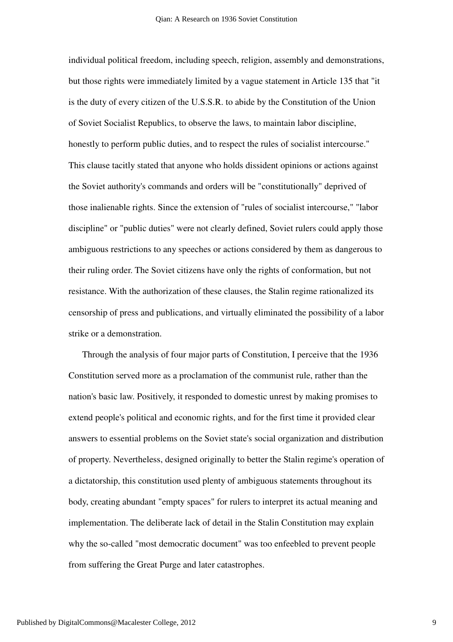individual political freedom, including speech, religion, assembly and demonstrations, but those rights were immediately limited by a vague statement in Article 135 that "it is the duty of every citizen of the U.S.S.R. to abide by the Constitution of the Union of Soviet Socialist Republics, to observe the laws, to maintain labor discipline, honestly to perform public duties, and to respect the rules of socialist intercourse." This clause tacitly stated that anyone who holds dissident opinions or actions against the Soviet authority's commands and orders will be "constitutionally" deprived of those inalienable rights. Since the extension of "rules of socialist intercourse," "labor discipline" or "public duties" were not clearly defined, Soviet rulers could apply those ambiguous restrictions to any speeches or actions considered by them as dangerous to their ruling order. The Soviet citizens have only the rights of conformation, but not resistance. With the authorization of these clauses, the Stalin regime rationalized its censorship of press and publications, and virtually eliminated the possibility of a labor strike or a demonstration.

Through the analysis of four major parts of Constitution, I perceive that the 1936 Constitution served more as a proclamation of the communist rule, rather than the nation's basic law. Positively, it responded to domestic unrest by making promises to extend people's political and economic rights, and for the first time it provided clear answers to essential problems on the Soviet state's social organization and distribution of property. Nevertheless, designed originally to better the Stalin regime's operation of a dictatorship, this constitution used plenty of ambiguous statements throughout its body, creating abundant "empty spaces" for rulers to interpret its actual meaning and implementation. The deliberate lack of detail in the Stalin Constitution may explain why the so-called "most democratic document" was too enfeebled to prevent people from suffering the Great Purge and later catastrophes.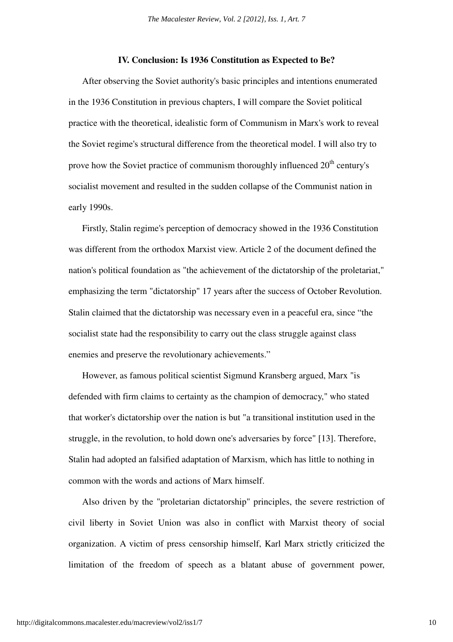### **IV. Conclusion: Is 1936 Constitution as Expected to Be?**

After observing the Soviet authority's basic principles and intentions enumerated in the 1936 Constitution in previous chapters, I will compare the Soviet political practice with the theoretical, idealistic form of Communism in Marx's work to reveal the Soviet regime's structural difference from the theoretical model. I will also try to prove how the Soviet practice of communism thoroughly influenced  $20<sup>th</sup>$  century's socialist movement and resulted in the sudden collapse of the Communist nation in early 1990s.

Firstly, Stalin regime's perception of democracy showed in the 1936 Constitution was different from the orthodox Marxist view. Article 2 of the document defined the nation's political foundation as "the achievement of the dictatorship of the proletariat," emphasizing the term "dictatorship" 17 years after the success of October Revolution. Stalin claimed that the dictatorship was necessary even in a peaceful era, since "the socialist state had the responsibility to carry out the class struggle against class enemies and preserve the revolutionary achievements."

However, as famous political scientist Sigmund Kransberg argued, Marx "is defended with firm claims to certainty as the champion of democracy," who stated that worker's dictatorship over the nation is but "a transitional institution used in the struggle, in the revolution, to hold down one's adversaries by force" [13]. Therefore, Stalin had adopted an falsified adaptation of Marxism, which has little to nothing in common with the words and actions of Marx himself.

Also driven by the "proletarian dictatorship" principles, the severe restriction of civil liberty in Soviet Union was also in conflict with Marxist theory of social organization. A victim of press censorship himself, Karl Marx strictly criticized the limitation of the freedom of speech as a blatant abuse of government power,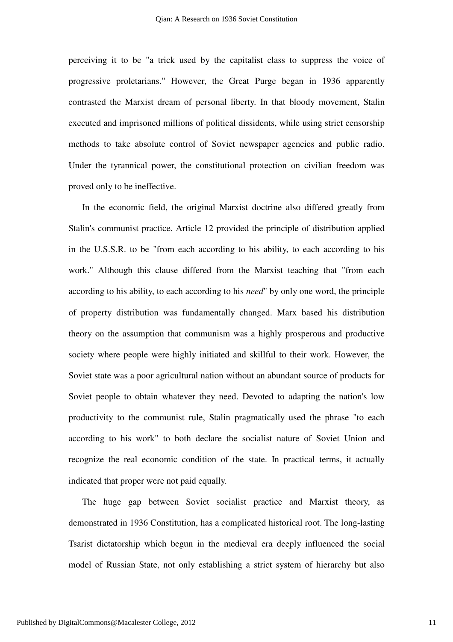perceiving it to be "a trick used by the capitalist class to suppress the voice of progressive proletarians." However, the Great Purge began in 1936 apparently contrasted the Marxist dream of personal liberty. In that bloody movement, Stalin executed and imprisoned millions of political dissidents, while using strict censorship methods to take absolute control of Soviet newspaper agencies and public radio. Under the tyrannical power, the constitutional protection on civilian freedom was proved only to be ineffective.

In the economic field, the original Marxist doctrine also differed greatly from Stalin's communist practice. Article 12 provided the principle of distribution applied in the U.S.S.R. to be "from each according to his ability, to each according to his work." Although this clause differed from the Marxist teaching that "from each according to his ability, to each according to his *need*" by only one word, the principle of property distribution was fundamentally changed. Marx based his distribution theory on the assumption that communism was a highly prosperous and productive society where people were highly initiated and skillful to their work. However, the Soviet state was a poor agricultural nation without an abundant source of products for Soviet people to obtain whatever they need. Devoted to adapting the nation's low productivity to the communist rule, Stalin pragmatically used the phrase "to each according to his work" to both declare the socialist nature of Soviet Union and recognize the real economic condition of the state. In practical terms, it actually indicated that proper were not paid equally.

The huge gap between Soviet socialist practice and Marxist theory, as demonstrated in 1936 Constitution, has a complicated historical root. The long-lasting Tsarist dictatorship which begun in the medieval era deeply influenced the social model of Russian State, not only establishing a strict system of hierarchy but also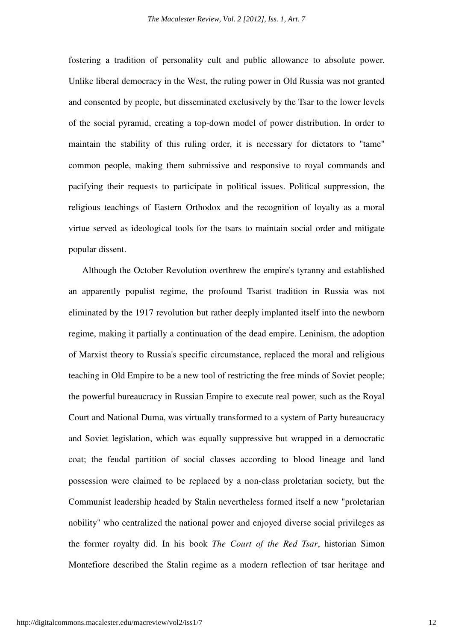fostering a tradition of personality cult and public allowance to absolute power. Unlike liberal democracy in the West, the ruling power in Old Russia was not granted and consented by people, but disseminated exclusively by the Tsar to the lower levels of the social pyramid, creating a top-down model of power distribution. In order to maintain the stability of this ruling order, it is necessary for dictators to "tame" common people, making them submissive and responsive to royal commands and pacifying their requests to participate in political issues. Political suppression, the religious teachings of Eastern Orthodox and the recognition of loyalty as a moral virtue served as ideological tools for the tsars to maintain social order and mitigate popular dissent.

Although the October Revolution overthrew the empire's tyranny and established an apparently populist regime, the profound Tsarist tradition in Russia was not eliminated by the 1917 revolution but rather deeply implanted itself into the newborn regime, making it partially a continuation of the dead empire. Leninism, the adoption of Marxist theory to Russia's specific circumstance, replaced the moral and religious teaching in Old Empire to be a new tool of restricting the free minds of Soviet people; the powerful bureaucracy in Russian Empire to execute real power, such as the Royal Court and National Duma, was virtually transformed to a system of Party bureaucracy and Soviet legislation, which was equally suppressive but wrapped in a democratic coat; the feudal partition of social classes according to blood lineage and land possession were claimed to be replaced by a non-class proletarian society, but the Communist leadership headed by Stalin nevertheless formed itself a new "proletarian nobility" who centralized the national power and enjoyed diverse social privileges as the former royalty did. In his book *The Court of the Red Tsar*, historian Simon Montefiore described the Stalin regime as a modern reflection of tsar heritage and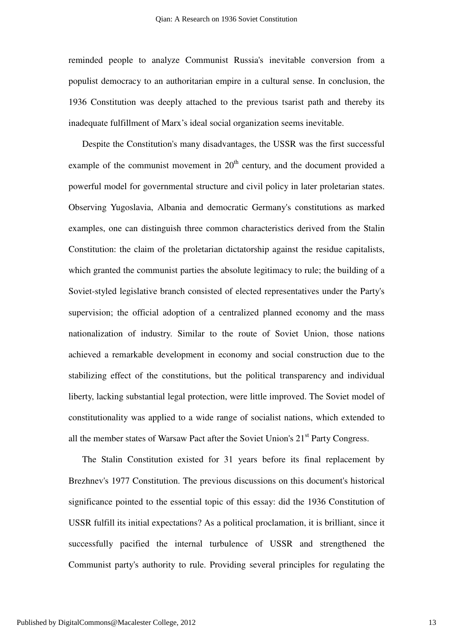reminded people to analyze Communist Russia's inevitable conversion from a populist democracy to an authoritarian empire in a cultural sense. In conclusion, the 1936 Constitution was deeply attached to the previous tsarist path and thereby its inadequate fulfillment of Marx's ideal social organization seems inevitable.

Despite the Constitution's many disadvantages, the USSR was the first successful example of the communist movement in  $20<sup>th</sup>$  century, and the document provided a powerful model for governmental structure and civil policy in later proletarian states. Observing Yugoslavia, Albania and democratic Germany's constitutions as marked examples, one can distinguish three common characteristics derived from the Stalin Constitution: the claim of the proletarian dictatorship against the residue capitalists, which granted the communist parties the absolute legitimacy to rule; the building of a Soviet-styled legislative branch consisted of elected representatives under the Party's supervision; the official adoption of a centralized planned economy and the mass nationalization of industry. Similar to the route of Soviet Union, those nations achieved a remarkable development in economy and social construction due to the stabilizing effect of the constitutions, but the political transparency and individual liberty, lacking substantial legal protection, were little improved. The Soviet model of constitutionality was applied to a wide range of socialist nations, which extended to all the member states of Warsaw Pact after the Soviet Union's  $21<sup>st</sup>$  Party Congress.

The Stalin Constitution existed for 31 years before its final replacement by Brezhnev's 1977 Constitution. The previous discussions on this document's historical significance pointed to the essential topic of this essay: did the 1936 Constitution of USSR fulfill its initial expectations? As a political proclamation, it is brilliant, since it successfully pacified the internal turbulence of USSR and strengthened the Communist party's authority to rule. Providing several principles for regulating the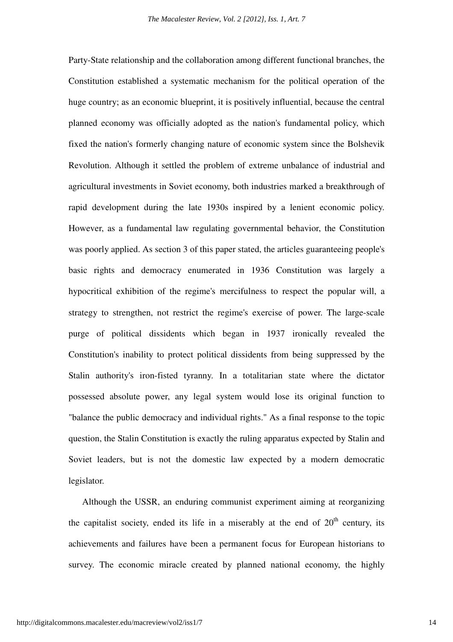Party-State relationship and the collaboration among different functional branches, the Constitution established a systematic mechanism for the political operation of the huge country; as an economic blueprint, it is positively influential, because the central planned economy was officially adopted as the nation's fundamental policy, which fixed the nation's formerly changing nature of economic system since the Bolshevik Revolution. Although it settled the problem of extreme unbalance of industrial and agricultural investments in Soviet economy, both industries marked a breakthrough of rapid development during the late 1930s inspired by a lenient economic policy. However, as a fundamental law regulating governmental behavior, the Constitution was poorly applied. As section 3 of this paper stated, the articles guaranteeing people's basic rights and democracy enumerated in 1936 Constitution was largely a hypocritical exhibition of the regime's mercifulness to respect the popular will, a strategy to strengthen, not restrict the regime's exercise of power. The large-scale purge of political dissidents which began in 1937 ironically revealed the Constitution's inability to protect political dissidents from being suppressed by the Stalin authority's iron-fisted tyranny. In a totalitarian state where the dictator possessed absolute power, any legal system would lose its original function to "balance the public democracy and individual rights." As a final response to the topic question, the Stalin Constitution is exactly the ruling apparatus expected by Stalin and Soviet leaders, but is not the domestic law expected by a modern democratic legislator.

Although the USSR, an enduring communist experiment aiming at reorganizing the capitalist society, ended its life in a miserably at the end of  $20<sup>th</sup>$  century, its achievements and failures have been a permanent focus for European historians to survey. The economic miracle created by planned national economy, the highly